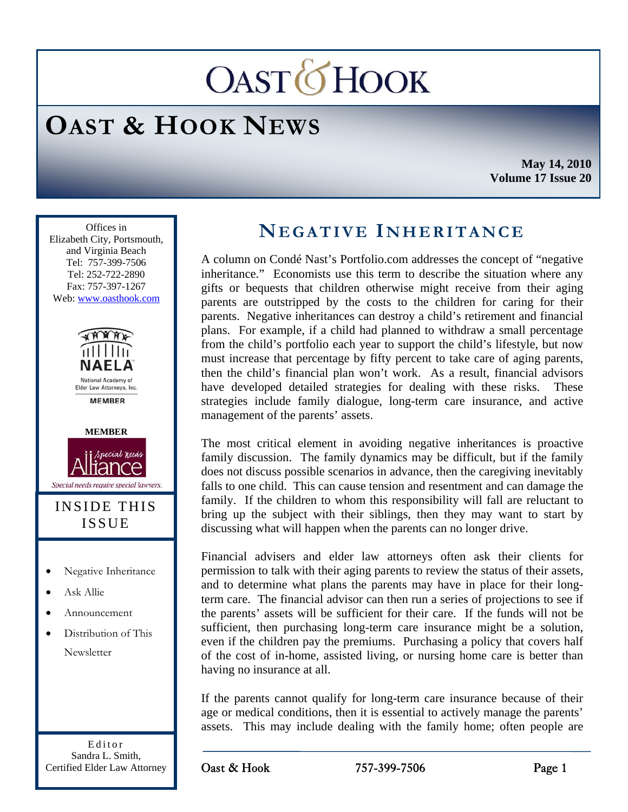# **OASTOHOOK**

## **OAST & HOOK NEWS**

**May 14, 2010 Volume 17 Issue 20** 

Ī Offices in Elizabeth City, Portsmouth, and Virginia Beach Tel: 757-399-7506 Tel: 252-722-2890 Fax: 757-397-1267 Web: www.oasthook.com





#### INSIDE THIS ISSUE

- Negative Inheritance
- Ask Allie
- Announcement
- Distribution of This Newsletter

Editor Sandra L. Smith, Certified Elder Law Attorney

### **NEGATIVE I NHERITANCE**

A column on Condé Nast's Portfolio.com addresses the concept of "negative inheritance." Economists use this term to describe the situation where any gifts or bequests that children otherwise might receive from their aging parents are outstripped by the costs to the children for caring for their parents. Negative inheritances can destroy a child's retirement and financial plans. For example, if a child had planned to withdraw a small percentage from the child's portfolio each year to support the child's lifestyle, but now must increase that percentage by fifty percent to take care of aging parents, then the child's financial plan won't work. As a result, financial advisors have developed detailed strategies for dealing with these risks. These strategies include family dialogue, long-term care insurance, and active management of the parents' assets.

The most critical element in avoiding negative inheritances is proactive family discussion. The family dynamics may be difficult, but if the family does not discuss possible scenarios in advance, then the caregiving inevitably falls to one child. This can cause tension and resentment and can damage the family. If the children to whom this responsibility will fall are reluctant to bring up the subject with their siblings, then they may want to start by discussing what will happen when the parents can no longer drive.

Financial advisers and elder law attorneys often ask their clients for permission to talk with their aging parents to review the status of their assets, and to determine what plans the parents may have in place for their longterm care. The financial advisor can then run a series of projections to see if the parents' assets will be sufficient for their care. If the funds will not be sufficient, then purchasing long-term care insurance might be a solution, even if the children pay the premiums. Purchasing a policy that covers half of the cost of in-home, assisted living, or nursing home care is better than having no insurance at all.

If the parents cannot qualify for long-term care insurance because of their age or medical conditions, then it is essential to actively manage the parents' assets. This may include dealing with the family home; often people are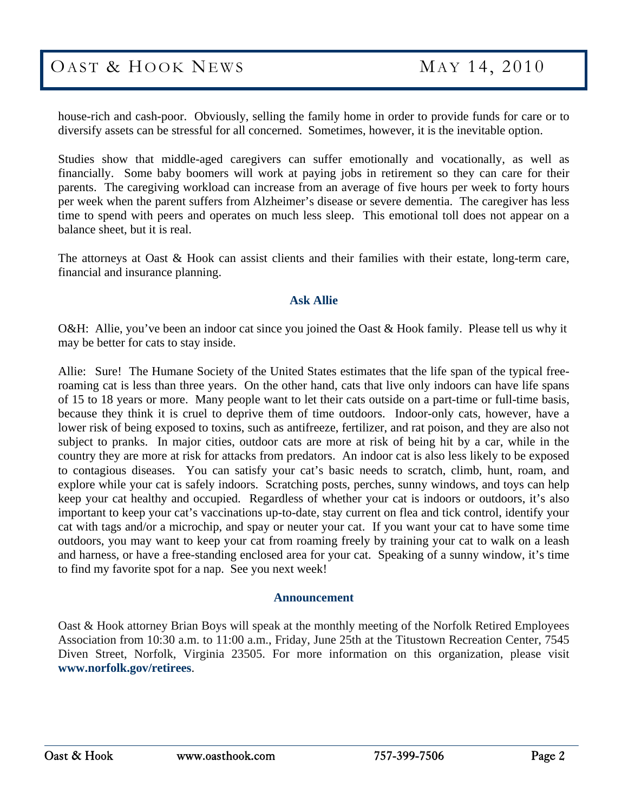house-rich and cash-poor. Obviously, selling the family home in order to provide funds for care or to diversify assets can be stressful for all concerned. Sometimes, however, it is the inevitable option.

Studies show that middle-aged caregivers can suffer emotionally and vocationally, as well as financially. Some baby boomers will work at paying jobs in retirement so they can care for their parents. The caregiving workload can increase from an average of five hours per week to forty hours per week when the parent suffers from Alzheimer's disease or severe dementia. The caregiver has less time to spend with peers and operates on much less sleep. This emotional toll does not appear on a balance sheet, but it is real.

The attorneys at Oast & Hook can assist clients and their families with their estate, long-term care, financial and insurance planning.

#### **Ask Allie**

O&H: Allie, you've been an indoor cat since you joined the Oast & Hook family. Please tell us why it may be better for cats to stay inside.

Allie: Sure! The Humane Society of the United States estimates that the life span of the typical freeroaming cat is less than three years. On the other hand, cats that live only indoors can have life spans of 15 to 18 years or more. Many people want to let their cats outside on a part-time or full-time basis, because they think it is cruel to deprive them of time outdoors. Indoor-only cats, however, have a lower risk of being exposed to toxins, such as antifreeze, fertilizer, and rat poison, and they are also not subject to pranks. In major cities, outdoor cats are more at risk of being hit by a car, while in the country they are more at risk for attacks from predators. An indoor cat is also less likely to be exposed to contagious diseases. You can satisfy your cat's basic needs to scratch, climb, hunt, roam, and explore while your cat is safely indoors. Scratching posts, perches, sunny windows, and toys can help keep your cat healthy and occupied. Regardless of whether your cat is indoors or outdoors, it's also important to keep your cat's vaccinations up-to-date, stay current on flea and tick control, identify your cat with tags and/or a microchip, and spay or neuter your cat. If you want your cat to have some time outdoors, you may want to keep your cat from roaming freely by training your cat to walk on a leash and harness, or have a free-standing enclosed area for your cat. Speaking of a sunny window, it's time to find my favorite spot for a nap. See you next week!

#### **Announcement**

Oast & Hook attorney Brian Boys will speak at the monthly meeting of the Norfolk Retired Employees Association from 10:30 a.m. to 11:00 a.m., Friday, June 25th at the Titustown Recreation Center, 7545 Diven Street, Norfolk, Virginia 23505. For more information on this organization, please visit **www.norfolk.gov/retirees**.